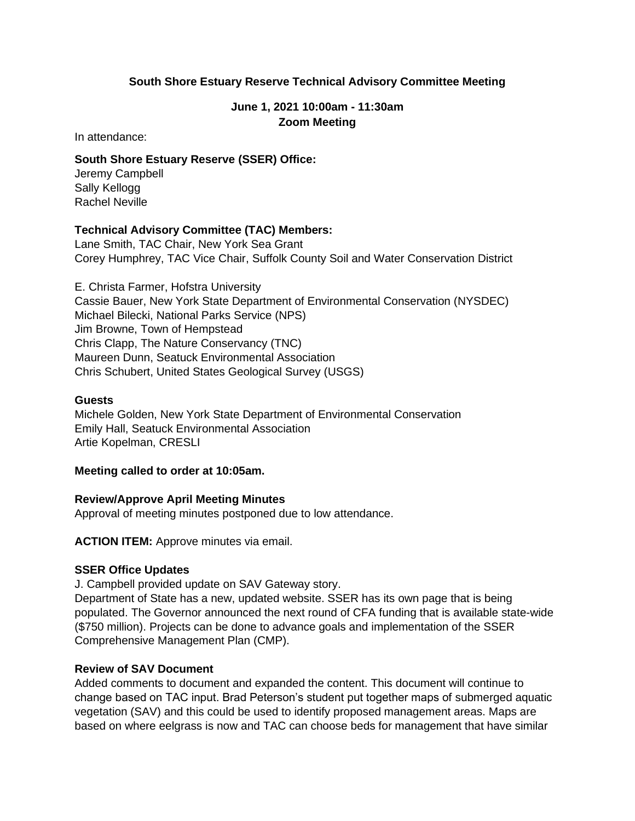# **South Shore Estuary Reserve Technical Advisory Committee Meeting**

# **June 1, 2021 10:00am - 11:30am Zoom Meeting**

In attendance:

## **South Shore Estuary Reserve (SSER) Office:**

Jeremy Campbell Sally Kellogg Rachel Neville

## **Technical Advisory Committee (TAC) Members:**

Lane Smith, TAC Chair, New York Sea Grant Corey Humphrey, TAC Vice Chair, Suffolk County Soil and Water Conservation District

E. Christa Farmer, Hofstra University Cassie Bauer, New York State Department of Environmental Conservation (NYSDEC) Michael Bilecki, National Parks Service (NPS) Jim Browne, Town of Hempstead Chris Clapp, The Nature Conservancy (TNC) Maureen Dunn, Seatuck Environmental Association Chris Schubert, United States Geological Survey (USGS)

## **Guests**

Michele Golden, New York State Department of Environmental Conservation Emily Hall, Seatuck Environmental Association Artie Kopelman, CRESLI

#### **Meeting called to order at 10:05am.**

### **Review/Approve April Meeting Minutes**

Approval of meeting minutes postponed due to low attendance.

**ACTION ITEM:** Approve minutes via email.

#### **SSER Office Updates**

J. Campbell provided update on SAV Gateway story.

Department of State has a new, updated website. SSER has its own page that is being populated. The Governor announced the next round of CFA funding that is available state-wide (\$750 million). Projects can be done to advance goals and implementation of the SSER Comprehensive Management Plan (CMP).

## **Review of SAV Document**

Added comments to document and expanded the content. This document will continue to change based on TAC input. Brad Peterson's student put together maps of submerged aquatic vegetation (SAV) and this could be used to identify proposed management areas. Maps are based on where eelgrass is now and TAC can choose beds for management that have similar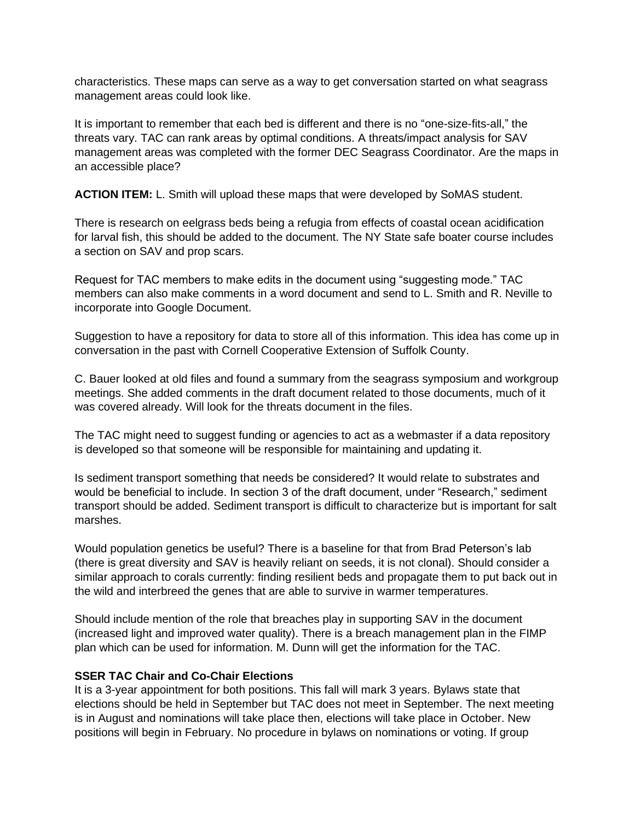characteristics. These maps can serve as a way to get conversation started on what seagrass management areas could look like.

It is important to remember that each bed is different and there is no "one-size-fits-all," the threats vary. TAC can rank areas by optimal conditions. A threats/impact analysis for SAV management areas was completed with the former DEC Seagrass Coordinator. Are the maps in an accessible place?

**ACTION ITEM:** L. Smith will upload these maps that were developed by SoMAS student.

There is research on eelgrass beds being a refugia from effects of coastal ocean acidification for larval fish, this should be added to the document. The NY State safe boater course includes a section on SAV and prop scars.

Request for TAC members to make edits in the document using "suggesting mode." TAC members can also make comments in a word document and send to L. Smith and R. Neville to incorporate into Google Document.

Suggestion to have a repository for data to store all of this information. This idea has come up in conversation in the past with Cornell Cooperative Extension of Suffolk County.

C. Bauer looked at old files and found a summary from the seagrass symposium and workgroup meetings. She added comments in the draft document related to those documents, much of it was covered already. Will look for the threats document in the files.

The TAC might need to suggest funding or agencies to act as a webmaster if a data repository is developed so that someone will be responsible for maintaining and updating it.

Is sediment transport something that needs be considered? It would relate to substrates and would be beneficial to include. In section 3 of the draft document, under "Research," sediment transport should be added. Sediment transport is difficult to characterize but is important for salt marshes.

Would population genetics be useful? There is a baseline for that from Brad Peterson's lab (there is great diversity and SAV is heavily reliant on seeds, it is not clonal). Should consider a similar approach to corals currently: finding resilient beds and propagate them to put back out in the wild and interbreed the genes that are able to survive in warmer temperatures.

Should include mention of the role that breaches play in supporting SAV in the document (increased light and improved water quality). There is a breach management plan in the FIMP plan which can be used for information. M. Dunn will get the information for the TAC.

## **SSER TAC Chair and Co-Chair Elections**

It is a 3-year appointment for both positions. This fall will mark 3 years. Bylaws state that elections should be held in September but TAC does not meet in September. The next meeting is in August and nominations will take place then, elections will take place in October. New positions will begin in February. No procedure in bylaws on nominations or voting. If group